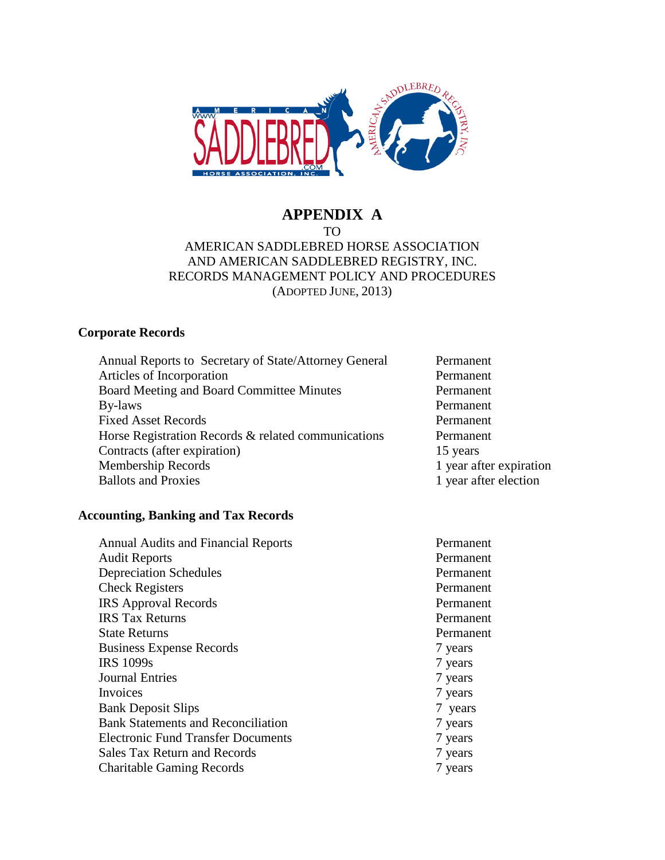

# **APPENDIX A**

#### TO AMERICAN SADDLEBRED HORSE ASSOCIATION AND AMERICAN SADDLEBRED REGISTRY, INC. RECORDS MANAGEMENT POLICY AND PROCEDURES (ADOPTED JUNE, 2013)

# **Corporate Records**

| Annual Reports to Secretary of State/Attorney General | Permanent               |
|-------------------------------------------------------|-------------------------|
| Articles of Incorporation                             | Permanent               |
| Board Meeting and Board Committee Minutes             | Permanent               |
| By-laws                                               | Permanent               |
| <b>Fixed Asset Records</b>                            | Permanent               |
| Horse Registration Records & related communications   | Permanent               |
| Contracts (after expiration)                          | 15 years                |
| Membership Records                                    | 1 year after expiration |
| <b>Ballots and Proxies</b>                            | 1 year after election   |

# **Accounting, Banking and Tax Records**

| <b>Annual Audits and Financial Reports</b> | Permanent |
|--------------------------------------------|-----------|
| <b>Audit Reports</b>                       | Permanent |
| <b>Depreciation Schedules</b>              | Permanent |
| <b>Check Registers</b>                     | Permanent |
| <b>IRS</b> Approval Records                | Permanent |
| <b>IRS</b> Tax Returns                     | Permanent |
| <b>State Returns</b>                       | Permanent |
| <b>Business Expense Records</b>            | 7 years   |
| <b>IRS 1099s</b>                           | 7 years   |
| <b>Journal Entries</b>                     | 7 years   |
| Invoices                                   | 7 years   |
| <b>Bank Deposit Slips</b>                  | 7 years   |
| <b>Bank Statements and Reconciliation</b>  | 7 years   |
| <b>Electronic Fund Transfer Documents</b>  | 7 years   |
| <b>Sales Tax Return and Records</b>        | 7 years   |
| <b>Charitable Gaming Records</b>           | 7 years   |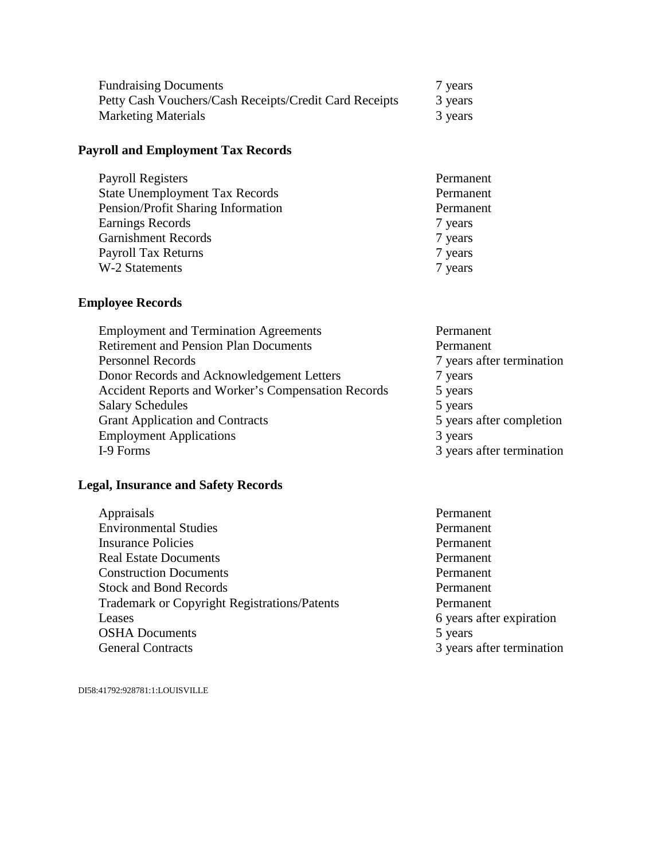| <b>Fundraising Documents</b>                           | 7 years |
|--------------------------------------------------------|---------|
| Petty Cash Vouchers/Cash Receipts/Credit Card Receipts | 3 years |
| <b>Marketing Materials</b>                             | 3 years |

#### **Payroll and Employment Tax Records**

| Permanent |
|-----------|
| Permanent |
| Permanent |
| 7 years   |
| 7 years   |
| 7 years   |
| 7 years   |
|           |

## **Employee Records**

| <b>Employment and Termination Agreements</b>       | Permanent                 |
|----------------------------------------------------|---------------------------|
| <b>Retirement and Pension Plan Documents</b>       | Permanent                 |
| <b>Personnel Records</b>                           | 7 years after termination |
| Donor Records and Acknowledgement Letters          | 7 years                   |
| Accident Reports and Worker's Compensation Records | 5 years                   |
| <b>Salary Schedules</b>                            | 5 years                   |
| <b>Grant Application and Contracts</b>             | 5 years after completion  |
| <b>Employment Applications</b>                     | 3 years                   |
| I-9 Forms                                          | 3 years after termination |

#### **Legal, Insurance and Safety Records**

- Appraisals Permanent Environmental Studies Permanent Insurance Policies Permanent Real Estate Documents **Permanent** Construction Documents Permanent Stock and Bond Records Permanent Trademark or Copyright Registrations/Patents Permanent Leases 6 years after expiration<br>OSHA Documents 5 years 6 years 5 years **OSHA Documents**<br>General Contracts
	- 3 years after termination

DI58:41792:928781:1:LOUISVILLE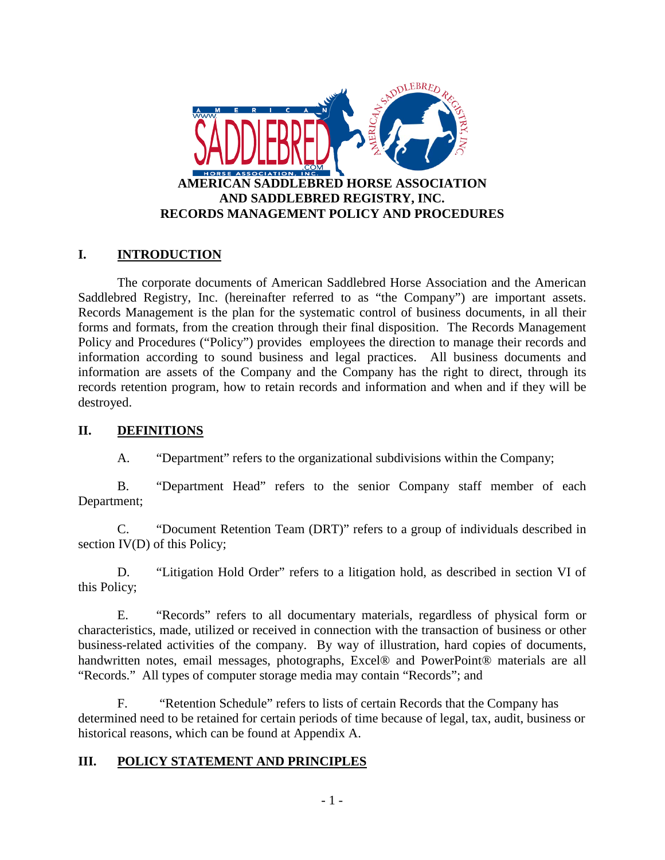

# **I. INTRODUCTION**

The corporate documents of American Saddlebred Horse Association and the American Saddlebred Registry, Inc. (hereinafter referred to as "the Company") are important assets. Records Management is the plan for the systematic control of business documents, in all their forms and formats, from the creation through their final disposition. The Records Management Policy and Procedures ("Policy") provides employees the direction to manage their records and information according to sound business and legal practices. All business documents and information are assets of the Company and the Company has the right to direct, through its records retention program, how to retain records and information and when and if they will be destroyed.

#### **II. DEFINITIONS**

A. "Department" refers to the organizational subdivisions within the Company;

B. "Department Head" refers to the senior Company staff member of each Department;

C. "Document Retention Team (DRT)" refers to a group of individuals described in section IV(D) of this Policy;

D. "Litigation Hold Order" refers to a litigation hold, as described in section VI of this Policy;

E. "Records" refers to all documentary materials, regardless of physical form or characteristics, made, utilized or received in connection with the transaction of business or other business-related activities of the company. By way of illustration, hard copies of documents, handwritten notes, email messages, photographs, Excel® and PowerPoint® materials are all "Records." All types of computer storage media may contain "Records"; and

F. "Retention Schedule" refers to lists of certain Records that the Company has determined need to be retained for certain periods of time because of legal, tax, audit, business or historical reasons, which can be found at Appendix A.

## **III. POLICY STATEMENT AND PRINCIPLES**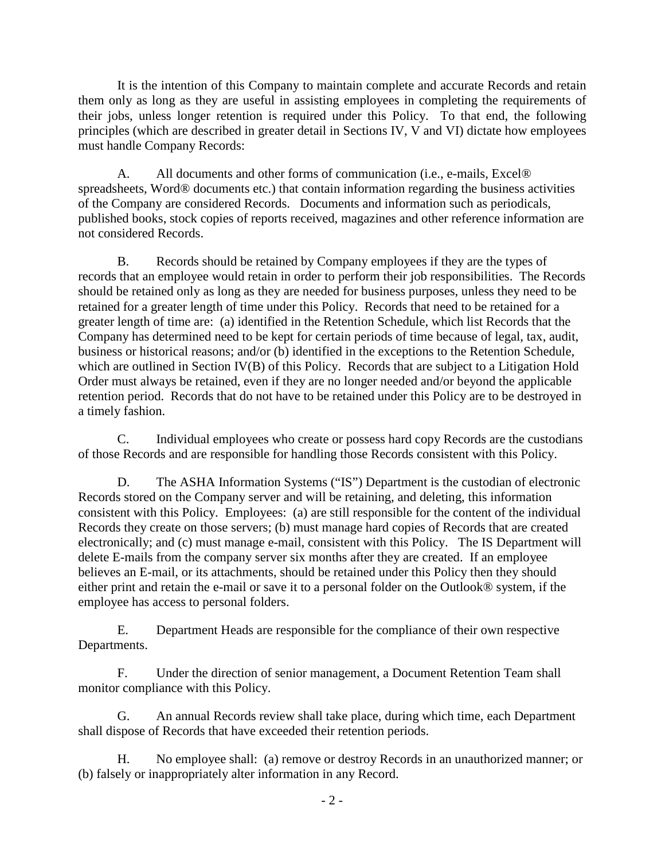It is the intention of this Company to maintain complete and accurate Records and retain them only as long as they are useful in assisting employees in completing the requirements of their jobs, unless longer retention is required under this Policy. To that end, the following principles (which are described in greater detail in Sections IV, V and VI) dictate how employees must handle Company Records:

A. All documents and other forms of communication (i.e., e-mails, Excel® spreadsheets, Word® documents etc.) that contain information regarding the business activities of the Company are considered Records. Documents and information such as periodicals, published books, stock copies of reports received, magazines and other reference information are not considered Records.

B. Records should be retained by Company employees if they are the types of records that an employee would retain in order to perform their job responsibilities. The Records should be retained only as long as they are needed for business purposes, unless they need to be retained for a greater length of time under this Policy. Records that need to be retained for a greater length of time are: (a) identified in the Retention Schedule, which list Records that the Company has determined need to be kept for certain periods of time because of legal, tax, audit, business or historical reasons; and/or (b) identified in the exceptions to the Retention Schedule, which are outlined in Section IV(B) of this Policy. Records that are subject to a Litigation Hold Order must always be retained, even if they are no longer needed and/or beyond the applicable retention period. Records that do not have to be retained under this Policy are to be destroyed in a timely fashion.

C. Individual employees who create or possess hard copy Records are the custodians of those Records and are responsible for handling those Records consistent with this Policy.

D. The ASHA Information Systems ("IS") Department is the custodian of electronic Records stored on the Company server and will be retaining, and deleting, this information consistent with this Policy. Employees: (a) are still responsible for the content of the individual Records they create on those servers; (b) must manage hard copies of Records that are created electronically; and (c) must manage e-mail, consistent with this Policy. The IS Department will delete E-mails from the company server six months after they are created. If an employee believes an E-mail, or its attachments, should be retained under this Policy then they should either print and retain the e-mail or save it to a personal folder on the Outlook® system, if the employee has access to personal folders.

E. Department Heads are responsible for the compliance of their own respective Departments.

F. Under the direction of senior management, a Document Retention Team shall monitor compliance with this Policy.

G. An annual Records review shall take place, during which time, each Department shall dispose of Records that have exceeded their retention periods.

H. No employee shall: (a) remove or destroy Records in an unauthorized manner; or (b) falsely or inappropriately alter information in any Record.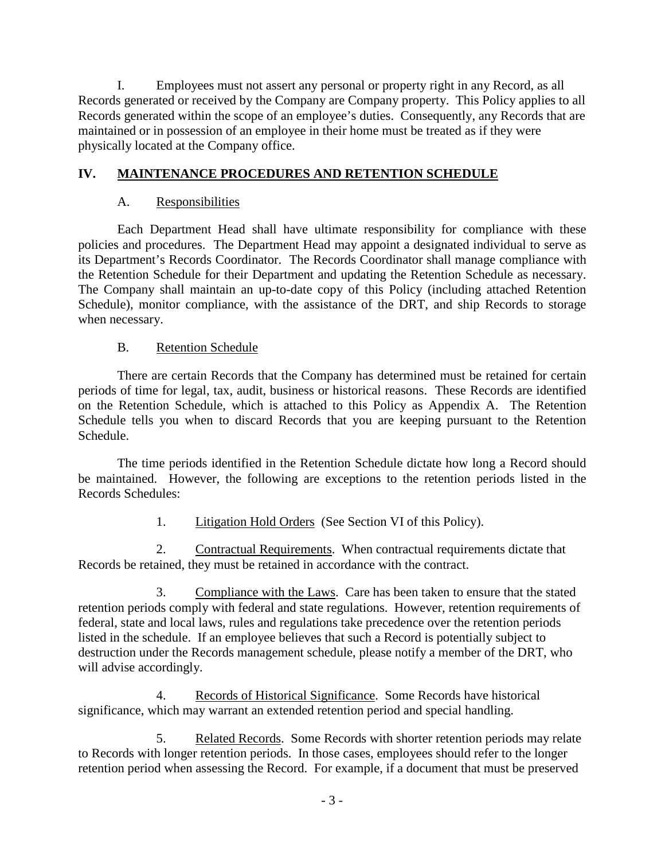I. Employees must not assert any personal or property right in any Record, as all Records generated or received by the Company are Company property. This Policy applies to all Records generated within the scope of an employee's duties. Consequently, any Records that are maintained or in possession of an employee in their home must be treated as if they were physically located at the Company office.

# **IV. MAINTENANCE PROCEDURES AND RETENTION SCHEDULE**

#### A. Responsibilities

Each Department Head shall have ultimate responsibility for compliance with these policies and procedures. The Department Head may appoint a designated individual to serve as its Department's Records Coordinator. The Records Coordinator shall manage compliance with the Retention Schedule for their Department and updating the Retention Schedule as necessary. The Company shall maintain an up-to-date copy of this Policy (including attached Retention Schedule), monitor compliance, with the assistance of the DRT, and ship Records to storage when necessary.

## B. Retention Schedule

There are certain Records that the Company has determined must be retained for certain periods of time for legal, tax, audit, business or historical reasons. These Records are identified on the Retention Schedule, which is attached to this Policy as Appendix A. The Retention Schedule tells you when to discard Records that you are keeping pursuant to the Retention Schedule.

The time periods identified in the Retention Schedule dictate how long a Record should be maintained. However, the following are exceptions to the retention periods listed in the Records Schedules:

## 1. Litigation Hold Orders (See Section VI of this Policy).

2. Contractual Requirements. When contractual requirements dictate that Records be retained, they must be retained in accordance with the contract.

3. Compliance with the Laws. Care has been taken to ensure that the stated retention periods comply with federal and state regulations. However, retention requirements of federal, state and local laws, rules and regulations take precedence over the retention periods listed in the schedule. If an employee believes that such a Record is potentially subject to destruction under the Records management schedule, please notify a member of the DRT, who will advise accordingly.

4. Records of Historical Significance. Some Records have historical significance, which may warrant an extended retention period and special handling.

5. Related Records. Some Records with shorter retention periods may relate to Records with longer retention periods. In those cases, employees should refer to the longer retention period when assessing the Record. For example, if a document that must be preserved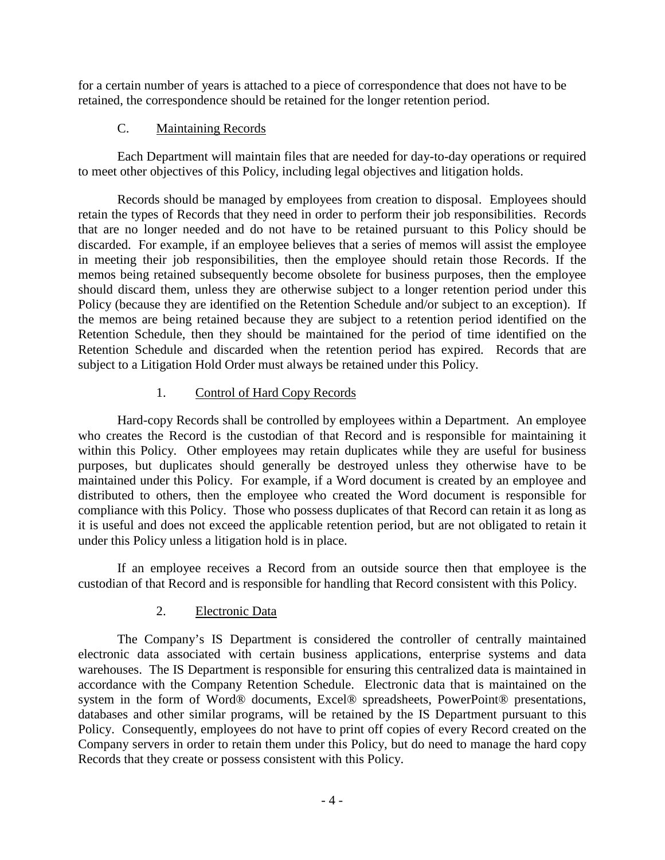for a certain number of years is attached to a piece of correspondence that does not have to be retained, the correspondence should be retained for the longer retention period.

# C. Maintaining Records

Each Department will maintain files that are needed for day-to-day operations or required to meet other objectives of this Policy, including legal objectives and litigation holds.

Records should be managed by employees from creation to disposal. Employees should retain the types of Records that they need in order to perform their job responsibilities. Records that are no longer needed and do not have to be retained pursuant to this Policy should be discarded. For example, if an employee believes that a series of memos will assist the employee in meeting their job responsibilities, then the employee should retain those Records. If the memos being retained subsequently become obsolete for business purposes, then the employee should discard them, unless they are otherwise subject to a longer retention period under this Policy (because they are identified on the Retention Schedule and/or subject to an exception). If the memos are being retained because they are subject to a retention period identified on the Retention Schedule, then they should be maintained for the period of time identified on the Retention Schedule and discarded when the retention period has expired. Records that are subject to a Litigation Hold Order must always be retained under this Policy.

# 1. Control of Hard Copy Records

Hard-copy Records shall be controlled by employees within a Department. An employee who creates the Record is the custodian of that Record and is responsible for maintaining it within this Policy. Other employees may retain duplicates while they are useful for business purposes, but duplicates should generally be destroyed unless they otherwise have to be maintained under this Policy. For example, if a Word document is created by an employee and distributed to others, then the employee who created the Word document is responsible for compliance with this Policy. Those who possess duplicates of that Record can retain it as long as it is useful and does not exceed the applicable retention period, but are not obligated to retain it under this Policy unless a litigation hold is in place.

If an employee receives a Record from an outside source then that employee is the custodian of that Record and is responsible for handling that Record consistent with this Policy.

## 2. Electronic Data

The Company's IS Department is considered the controller of centrally maintained electronic data associated with certain business applications, enterprise systems and data warehouses. The IS Department is responsible for ensuring this centralized data is maintained in accordance with the Company Retention Schedule. Electronic data that is maintained on the system in the form of Word® documents, Excel® spreadsheets, PowerPoint® presentations, databases and other similar programs, will be retained by the IS Department pursuant to this Policy. Consequently, employees do not have to print off copies of every Record created on the Company servers in order to retain them under this Policy, but do need to manage the hard copy Records that they create or possess consistent with this Policy.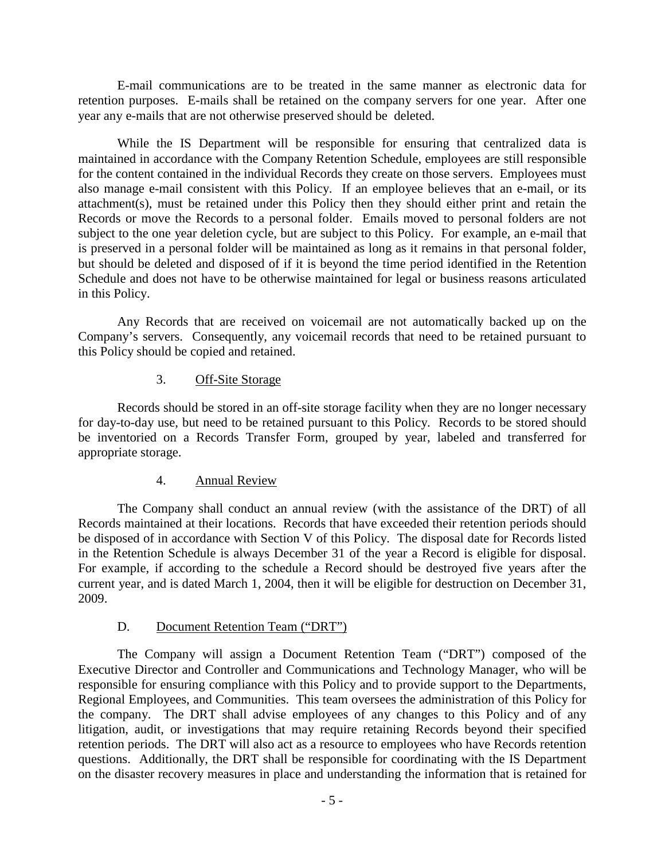E-mail communications are to be treated in the same manner as electronic data for retention purposes. E-mails shall be retained on the company servers for one year. After one year any e-mails that are not otherwise preserved should be deleted.

While the IS Department will be responsible for ensuring that centralized data is maintained in accordance with the Company Retention Schedule, employees are still responsible for the content contained in the individual Records they create on those servers. Employees must also manage e-mail consistent with this Policy. If an employee believes that an e-mail, or its attachment(s), must be retained under this Policy then they should either print and retain the Records or move the Records to a personal folder. Emails moved to personal folders are not subject to the one year deletion cycle, but are subject to this Policy. For example, an e-mail that is preserved in a personal folder will be maintained as long as it remains in that personal folder, but should be deleted and disposed of if it is beyond the time period identified in the Retention Schedule and does not have to be otherwise maintained for legal or business reasons articulated in this Policy.

Any Records that are received on voicemail are not automatically backed up on the Company's servers. Consequently, any voicemail records that need to be retained pursuant to this Policy should be copied and retained.

#### 3. Off-Site Storage

Records should be stored in an off-site storage facility when they are no longer necessary for day-to-day use, but need to be retained pursuant to this Policy. Records to be stored should be inventoried on a Records Transfer Form, grouped by year, labeled and transferred for appropriate storage.

## 4. Annual Review

The Company shall conduct an annual review (with the assistance of the DRT) of all Records maintained at their locations. Records that have exceeded their retention periods should be disposed of in accordance with Section V of this Policy. The disposal date for Records listed in the Retention Schedule is always December 31 of the year a Record is eligible for disposal. For example, if according to the schedule a Record should be destroyed five years after the current year, and is dated March 1, 2004, then it will be eligible for destruction on December 31, 2009.

## D. Document Retention Team ("DRT")

The Company will assign a Document Retention Team ("DRT") composed of the Executive Director and Controller and Communications and Technology Manager, who will be responsible for ensuring compliance with this Policy and to provide support to the Departments, Regional Employees, and Communities. This team oversees the administration of this Policy for the company. The DRT shall advise employees of any changes to this Policy and of any litigation, audit, or investigations that may require retaining Records beyond their specified retention periods. The DRT will also act as a resource to employees who have Records retention questions. Additionally, the DRT shall be responsible for coordinating with the IS Department on the disaster recovery measures in place and understanding the information that is retained for